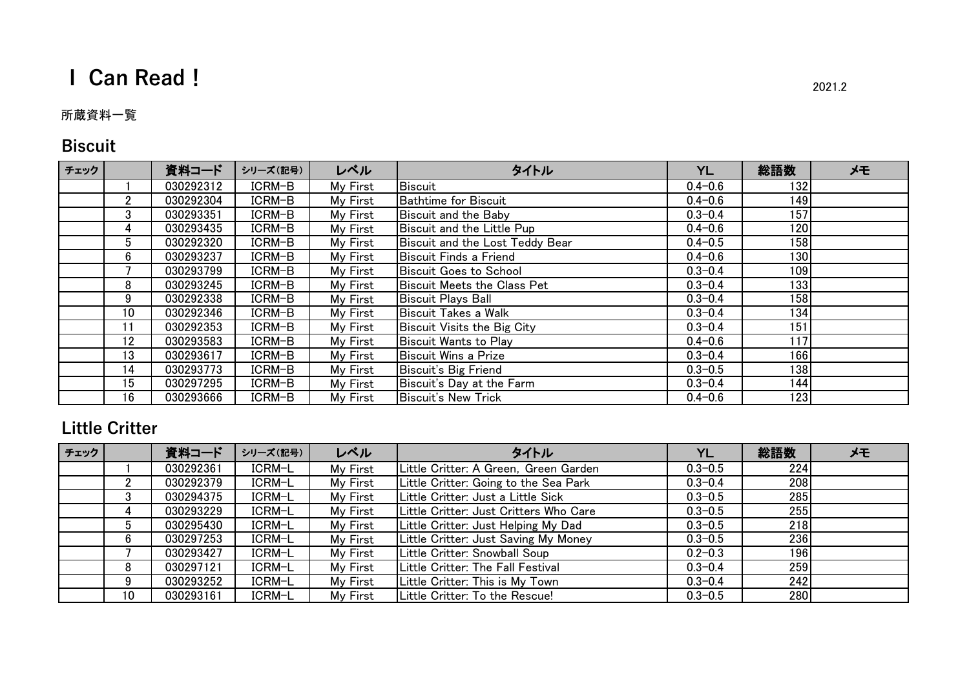# **I Can Read!** 2021.2

#### 所蔵資料一覧

## **Biscuit**

| チェック |                | 資料コード     | シリーズ(記号) | レベル      | タイトル                            | YL          | 総語数 | メモ |
|------|----------------|-----------|----------|----------|---------------------------------|-------------|-----|----|
|      |                | 030292312 | ICRM-B   | My First | Biscuit                         | $0.4 - 0.6$ | 132 |    |
|      | $\overline{2}$ | 030292304 | ICRM-B   | My First | <b>Bathtime for Biscuit</b>     | $0.4 - 0.6$ | 149 |    |
|      | 3              | 030293351 | ICRM-B   | My First | Biscuit and the Baby            | $0.3 - 0.4$ | 157 |    |
|      | 4              | 030293435 | ICRM-B   | My First | Biscuit and the Little Pup      | $0.4 - 0.6$ | 120 |    |
|      | 5              | 030292320 | ICRM-B   | My First | Biscuit and the Lost Teddy Bear | $0.4 - 0.5$ | 158 |    |
|      | 6              | 030293237 | ICRM-B   | My First | Biscuit Finds a Friend          | $0.4 - 0.6$ | 130 |    |
|      |                | 030293799 | ICRM-B   | My First | <b>Biscuit Goes to School</b>   | $0.3 - 0.4$ | 109 |    |
|      | 8              | 030293245 | ICRM-B   | My First | Biscuit Meets the Class Pet     | $0.3 - 0.4$ | 133 |    |
|      | 9              | 030292338 | ICRM-B   | My First | Biscuit Plays Ball              | $0.3 - 0.4$ | 158 |    |
|      | 10             | 030292346 | ICRM-B   | My First | Biscuit Takes a Walk            | $0.3 - 0.4$ | 134 |    |
|      | 11             | 030292353 | ICRM-B   | My First | Biscuit Visits the Big City     | $0.3 - 0.4$ | 151 |    |
|      | 12             | 030293583 | ICRM-B   | My First | Biscuit Wants to Play           | $0.4 - 0.6$ | 117 |    |
|      | 13             | 030293617 | ICRM-B   | My First | Biscuit Wins a Prize            | $0.3 - 0.4$ | 166 |    |
|      | 14             | 030293773 | ICRM-B   | My First | Biscuit's Big Friend            | $0.3 - 0.5$ | 138 |    |
|      | 15             | 030297295 | ICRM-B   | My First | Biscuit's Day at the Farm       | $0.3 - 0.4$ | 144 |    |
|      | 16             | 030293666 | ICRM-B   | My First | <b>Biscuit's New Trick</b>      | $0.4 - 0.6$ | 123 |    |

#### **Little Critter**

| チェック |    | 資料コード     | シリーズ(記号) | レベル      | タイトル                                   | YL          | 総語数 | メモ |
|------|----|-----------|----------|----------|----------------------------------------|-------------|-----|----|
|      |    | 030292361 | ICRM-L   | My First | Little Critter: A Green, Green Garden  | $0.3 - 0.5$ | 224 |    |
|      |    | 030292379 | ICRM-L   | My First | Little Critter: Going to the Sea Park  | $0.3 - 0.4$ | 208 |    |
|      | J. | 030294375 | ICRM-L   | My First | Little Critter: Just a Little Sick     | $0.3 - 0.5$ | 285 |    |
|      |    | 030293229 | ICRM-L   | My First | Little Critter: Just Critters Who Care | $0.3 - 0.5$ | 255 |    |
|      |    | 030295430 | ICRM-L   | My First | Little Critter: Just Helping My Dad    | $0.3 - 0.5$ | 218 |    |
|      | 6  | 030297253 | ICRM-L   | My First | Little Critter: Just Saving My Money   | $0.3 - 0.5$ | 236 |    |
|      |    | 030293427 | ICRM-L   | My First | Little Critter: Snowball Soup          | $0.2 - 0.3$ | 196 |    |
|      | 8  | 030297121 | ICRM-L   | My First | Little Critter: The Fall Festival      | $0.3 - 0.4$ | 259 |    |
|      | 9  | 030293252 | ICRM-L   | My First | Little Critter: This is My Town        | $0.3 - 0.4$ | 242 |    |
|      | 10 | 030293161 | ICRM-L   | My First | Little Critter: To the Rescue!         | $0.3 - 0.5$ | 280 |    |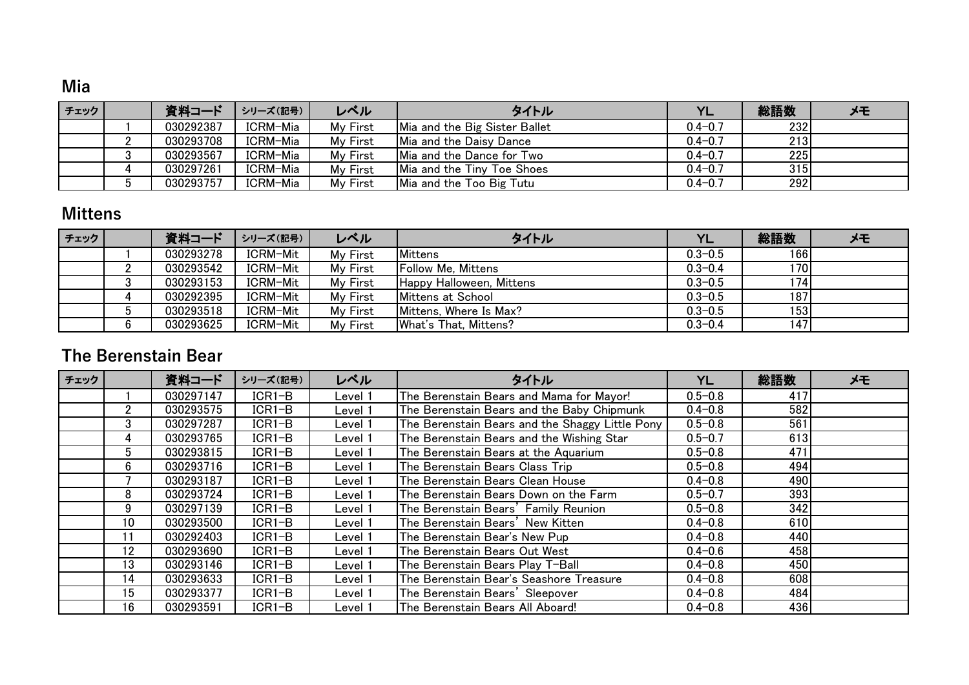#### **Mia**

| 資料コード     | シリーズ(記号) | レベル      | タイトル | YL                                                                                                                                              | 総語数 | メモ |
|-----------|----------|----------|------|-------------------------------------------------------------------------------------------------------------------------------------------------|-----|----|
| 030292387 | ICRM-Mia | My First |      | $0.4 - 0.7$                                                                                                                                     | 232 |    |
| 030293708 | ICRM-Mia | My First |      | $0.4 - 0.7$                                                                                                                                     | 213 |    |
| 030293567 | ICRM-Mia | My First |      | $0.4 - 0.7$                                                                                                                                     | 225 |    |
| 030297261 | ICRM-Mia | My First |      | $0.4 - 0.7$                                                                                                                                     | 315 |    |
| 030293757 | ICRM-Mia | My First |      | $0.4 - 0.7$                                                                                                                                     | 292 |    |
|           |          |          |      | Mia and the Big Sister Ballet<br>Mia and the Daisy Dance<br>Mia and the Dance for Two<br>Mia and the Tiny Toe Shoes<br>Mia and the Too Big Tutu |     |    |

#### **Mittens**

| チェック |   | 資料コード     | シリーズ(記号) | レベル      | タイトル                      | YL          | 総語数  | メモ |
|------|---|-----------|----------|----------|---------------------------|-------------|------|----|
|      |   | 030293278 | ICRM-Mit | My First | Mittens                   | $0.3 - 0.5$ | 166  |    |
|      |   | 030293542 | ICRM-Mit | My First | <b>Follow Me, Mittens</b> | $0.3 - 0.4$ | 1701 |    |
|      |   | 030293153 | ICRM-Mit | My First | Happy Halloween, Mittens  | $0.3 - 0.5$ | 174  |    |
|      |   | 030292395 | ICRM-Mit | My First | Mittens at School         | $0.3 - 0.5$ | 187  |    |
|      |   | 030293518 | ICRM-Mit | My First | Mittens, Where Is Max?    | $0.3 - 0.5$ | 1531 |    |
|      | 6 | 030293625 | ICRM-Mit | My First | What's That, Mittens?     | $0.3 - 0.4$ | 147  |    |

#### **The Berenstain Bear**

| チェック |    | 資料コード     | シリーズ(記号) | レベル     | タイトル                                            | YL          | 総語数 | メモ |
|------|----|-----------|----------|---------|-------------------------------------------------|-------------|-----|----|
|      |    | 030297147 | $ICR1-B$ | Level 1 | The Berenstain Bears and Mama for Mayor!        | $0.5 - 0.8$ | 417 |    |
|      |    | 030293575 | $ICR1-B$ | Level 1 | The Berenstain Bears and the Baby Chipmunk      | $0.4 - 0.8$ | 582 |    |
|      | 3  | 030297287 | $ICR1-B$ | Level 1 | The Berenstain Bears and the Shaggy Little Pony | $0.5 - 0.8$ | 561 |    |
|      | 4  | 030293765 | $ICR1-B$ | Level 1 | The Berenstain Bears and the Wishing Star       | $0.5 - 0.7$ | 613 |    |
|      | 5  | 030293815 | $ICR1-B$ | Level 1 | The Berenstain Bears at the Aquarium            | $0.5 - 0.8$ | 471 |    |
|      | 6  | 030293716 | $ICR1-B$ | Level 1 | The Berenstain Bears Class Trip                 | $0.5 - 0.8$ | 494 |    |
|      |    | 030293187 | $ICR1-B$ | Level 1 | The Berenstain Bears Clean House                | $0.4 - 0.8$ | 490 |    |
|      | 8  | 030293724 | $ICR1-B$ | Level 1 | The Berenstain Bears Down on the Farm           | $0.5 - 0.7$ | 393 |    |
|      | 9  | 030297139 | $ICR1-B$ | _evel 1 | The Berenstain Bears' Family Reunion            | $0.5 - 0.8$ | 342 |    |
|      | 10 | 030293500 | $ICR1-B$ | Level 1 | The Berenstain Bears' New Kitten                | $0.4 - 0.8$ | 610 |    |
|      | 11 | 030292403 | $ICR1-B$ | Level 1 | The Berenstain Bear's New Pup                   | $0.4 - 0.8$ | 440 |    |
|      | 12 | 030293690 | $ICR1-B$ | Level 1 | The Berenstain Bears Out West                   | $0.4 - 0.6$ | 458 |    |
|      | 13 | 030293146 | $ICR1-B$ | Level 1 | The Berenstain Bears Play T-Ball                | $0.4 - 0.8$ | 450 |    |
|      | 14 | 030293633 | $ICR1-B$ | Level 1 | The Berenstain Bear's Seashore Treasure         | $0.4 - 0.8$ | 608 |    |
|      | 15 | 030293377 | $ICR1-B$ | Level 1 | The Berenstain Bears' Sleepover                 | $0.4 - 0.8$ | 484 |    |
|      | 16 | 030293591 | $ICR1-B$ | Level 1 | The Berenstain Bears All Aboard!                | $0.4 - 0.8$ | 436 |    |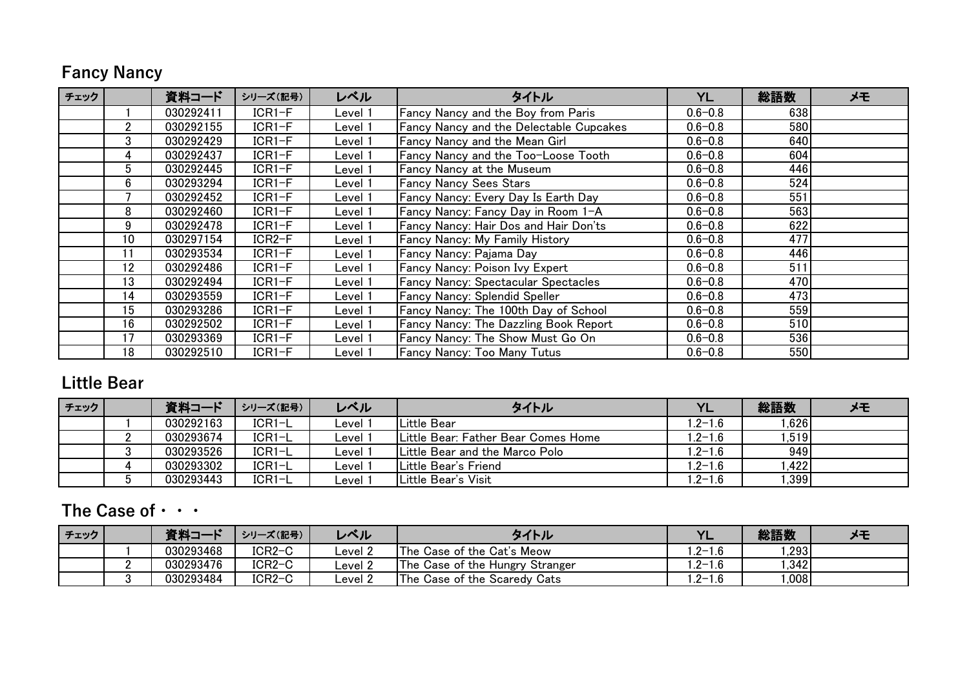## **Fancy Nancy**

| チェック |                | 資料コード     | シリーズ(記号)            | レベル     | タイトル                                           | <b>YL</b>   | 総語数              | メモ |
|------|----------------|-----------|---------------------|---------|------------------------------------------------|-------------|------------------|----|
|      |                | 030292411 | $ICR1-F$            | _evel 1 | Fancy Nancy and the Boy from Paris             | $0.6 - 0.8$ | 638              |    |
|      | $\overline{2}$ | 030292155 | $ICR1-F$            | _evel 1 | <b>Fancy Nancy and the Delectable Cupcakes</b> | $0.6 - 0.8$ | 580              |    |
|      | 3              | 030292429 | $ICR1-F$            | _evel 1 | <b>Fancy Nancy and the Mean Girl</b>           | $0.6 - 0.8$ | 640              |    |
|      | 4              | 030292437 | $ICR1-F$            | evel 1- | Fancy Nancy and the Too-Loose Tooth            | $0.6 - 0.8$ | 604              |    |
|      | 5              | 030292445 | $ICR1-F$            | evel 1- | Fancy Nancy at the Museum                      | $0.6 - 0.8$ | 446              |    |
|      | 6              | 030293294 | $ICR1-F$            | evel 1ـ | <b>Fancy Nancy Sees Stars</b>                  | $0.6 - 0.8$ | 524              |    |
|      |                | 030292452 | $ICR1-F$            | _evel 1 | Fancy Nancy: Every Day Is Earth Day            | $0.6 - 0.8$ | 551              |    |
|      | 8              | 030292460 | $ICR1-F$            | Level 1 | Fancy Nancy: Fancy Day in Room 1-A             | $0.6 - 0.8$ | 563              |    |
|      | 9              | 030292478 | $ICR1-F$            | Level 1 | Fancy Nancy: Hair Dos and Hair Don'ts          | $0.6 - 0.8$ | 622              |    |
|      | 10             | 030297154 | ICR <sub>2</sub> -F | _evel 1 | <b>Fancy Nancy: My Family History</b>          | $0.6 - 0.8$ | 477              |    |
|      | 11             | 030293534 | $ICR1-F$            | _evel 1 | Fancy Nancy: Pajama Day                        | $0.6 - 0.8$ | 446              |    |
|      | 12             | 030292486 | $ICR1-F$            | _evel 1 | Fancy Nancy: Poison Ivy Expert                 | $0.6 - 0.8$ | 511              |    |
|      | 13             | 030292494 | $ICR1-F$            | evel 1ـ | <b>Fancy Nancy: Spectacular Spectacles</b>     | $0.6 - 0.8$ | 470              |    |
|      | 14             | 030293559 | $ICR1-F$            | _evel 1 | <b>Fancy Nancy: Splendid Speller</b>           | $0.6 - 0.8$ | 473              |    |
|      | 15             | 030293286 | $ICR1-F$            | Level 1 | Fancy Nancy: The 100th Day of School           | $0.6 - 0.8$ | 559              |    |
|      | 16             | 030292502 | $ICR1-F$            | evel 1. | <b>Fancy Nancy: The Dazzling Book Report</b>   | $0.6 - 0.8$ | 510 <sub>1</sub> |    |
|      | 17             | 030293369 | $ICR1-F$            | _evel 1 | Fancy Nancy: The Show Must Go On               | $0.6 - 0.8$ | 536 <sup>1</sup> |    |
|      | 18             | 030292510 | $ICR1-F$            | _evel 1 | <b>Fancy Nancy: Too Many Tutus</b>             | $0.6 - 0.8$ | 550              |    |

#### **Little Bear**

| チェック | 資料コード     | シリーズ(記号) | レベル     | タイトル                                   | YL                | 総語数    | メモ |
|------|-----------|----------|---------|----------------------------------------|-------------------|--------|----|
|      | 030292163 | $ICR1-L$ |         | <b>ILittle Bear</b>                    | $1.2 - 1.6$       | 1.6261 |    |
|      | 030293674 | ICR1-L   | Level   | Little Bear: Father Bear Comes Home    | $1.2 - 1.6$       | 1,519  |    |
|      | 030293526 | ICR1-L   | ∟evel ∶ | <b>ILittle Bear and the Marco Polo</b> | 1.2-1.6           | 949    |    |
|      | 030293302 | $ICR1-L$ | _evel   | Little Bear's Friend                   | $1.2 - 1.6$       | .422   |    |
|      | 030293443 | $ICRI-L$ | ∟evel ∵ | <b>ILittle Bear's Visit</b>            | $^{\circ}$ .2-1.6 | .399   |    |

## **The Case of・・・**

| 「チェック」 | 資料コード     | シリーズ(記号) | レベル                                 | タイトル                              | YL          | 総語数  |  |
|--------|-----------|----------|-------------------------------------|-----------------------------------|-------------|------|--|
|        | 030293468 | $ICR2-C$ | $\textcolor{red}{\mathsf{level}}$ 2 | <b>The Case of the Cat's Meow</b> | $1.2 - 1.6$ | .293 |  |
|        | 030293476 | $ICR2-C$ | $\mathsf{Level}~2$                  | The Case of the Hungry Stranger   | $.2 - 1.6$  | .342 |  |
|        | 030293484 | $ICR2-C$ | Level 2                             | The Case of the Scaredy Cats      | $1.2 - 1.6$ | .008 |  |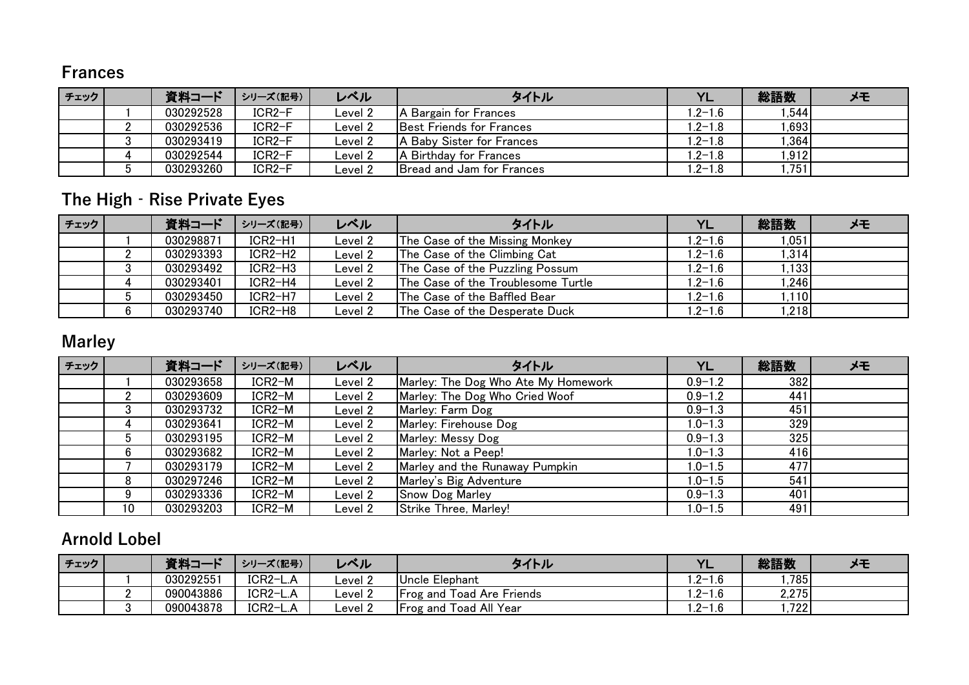#### **Frances**

| チェック | 資料コード     | シリーズ(記号) | レベル     | タイトル                             | YL         | 総語数   | メモ |
|------|-----------|----------|---------|----------------------------------|------------|-------|----|
|      | 030292528 | $ICR2-F$ | Level 2 | A Bargain for Frances            | $.2 - 1.6$ | .544  |    |
|      | 030292536 | $ICR2-F$ | Level 2 | <b>Best Friends for Frances</b>  | $.2 - 1.8$ | 1.693 |    |
|      | 030293419 | $ICR2-F$ | ∟evel 2 | A Baby Sister for Frances        | $.2 - 1.8$ | 1,364 |    |
|      | 030292544 | ICR2-F   | Level 2 | A Birthday for Frances           | $.2 - 1.8$ | 1,912 |    |
|      | 030293260 | ICR2-F   | Level 2 | <b>Bread and Jam for Frances</b> | $.2 - 1.8$ | .751  |    |

## **The High‐Rise Private Eyes**

| チェック |         | 資料コード     | シリーズ(記号)  | レベル     | タイトル                               | <b>YL</b>   | 総語数   | メモ |
|------|---------|-----------|-----------|---------|------------------------------------|-------------|-------|----|
|      |         | 030298871 | ICR2-H1   | Level 2 | The Case of the Missing Monkey     | $1.2 - 1.6$ | 1,051 |    |
|      |         | 030293393 | $ICR2-H2$ | Level 2 | The Case of the Climbing Cat       | $1.2 - 1.6$ | 1,314 |    |
|      | n<br>J. | 030293492 | $ICR2-H3$ | Level 2 | The Case of the Puzzling Possum    | $1.2 - 1.6$ | 1.133 |    |
|      |         | 030293401 | ICR2-H4   | Level 2 | The Case of the Troublesome Turtle | $1.2 - 1.6$ | 1,246 |    |
|      |         | 030293450 | ICR2-H7   | Level 2 | The Case of the Baffled Bear       | $1.2 - 1.6$ | .110  |    |
|      | 6       | 030293740 | $ICR2-H8$ | Level 2 | The Case of the Desperate Duck     | $1.2 - 1.6$ | .218  |    |

## **Marley**

| チェック |        | 資料コード     | シリーズ(記号) | レベル     | タイトル                                | YL          | 総語数 | メモ |
|------|--------|-----------|----------|---------|-------------------------------------|-------------|-----|----|
|      |        | 030293658 | ICR2-M   | Level 2 | Marley: The Dog Who Ate My Homework | $0.9 - 1.2$ | 382 |    |
|      |        | 030293609 | ICR2-M   | Level 2 | Marley: The Dog Who Cried Woof      | $0.9 - 1.2$ | 441 |    |
|      | ◠<br>3 | 030293732 | ICR2-M   | Level 2 | Marley: Farm Dog                    | $0.9 - 1.3$ | 451 |    |
|      | 4      | 030293641 | ICR2-M   | Level 2 | Marley: Firehouse Dog               | $1.0 - 1.3$ | 329 |    |
|      | 5      | 030293195 | ICR2-M   | Level 2 | Marley: Messy Dog                   | $0.9 - 1.3$ | 325 |    |
|      | 6      | 030293682 | ICR2-M   | Level 2 | Marley: Not a Peep!                 | $1.0 - 1.3$ | 416 |    |
|      |        | 030293179 | ICR2-M   | Level 2 | Marley and the Runaway Pumpkin      | $1.0 - 1.5$ | 477 |    |
|      | 8      | 030297246 | ICR2-M   | Level 2 | Marley's Big Adventure              | $1.0 - 1.5$ | 541 |    |
|      | 9      | 030293336 | ICR2-M   | Level 2 | <b>Snow Dog Marley</b>              | $0.9 - 1.3$ | 401 |    |
|      | 10     | 030293203 | $ICR2-M$ | Level 2 | Strike Three, Marley!               | $1.0 - 1.5$ | 491 |    |

## **Arnold Lobel**

| チェック | 資料コート<br>$\mathbf{P}$ | シリーズ(記号) | レベル     | タイトル                               | $\overline{M}$<br>. . | 総語数   |  |
|------|-----------------------|----------|---------|------------------------------------|-----------------------|-------|--|
|      | 030292551             | ICR2-L.A | ∟evel 2 | <b>Uncle Elephant</b>              | $.2 - 1.6$            | .785  |  |
|      | 090043886             | ICR2-L.A | Level 2 | <b>Frog and Toad Are Friends</b>   | $.2 - 1.6$            | 2,275 |  |
|      | 090043878             | ICR2-L.A | Level 2 | l Toad All Year<br><b>Frog and</b> | $.2 - 1.6$            | .722  |  |